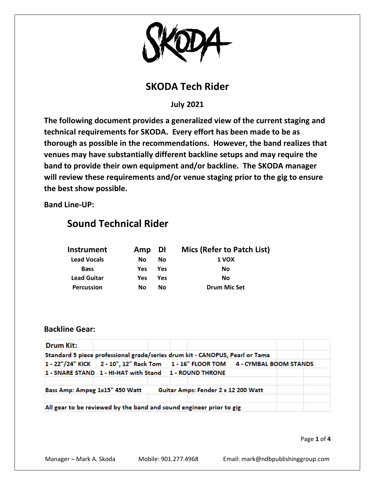

## **SKODA Tech Rider**

**July 2021**

**The following document provides a generalized view of the current staging and technical requirements for SKODA. Every effort has been made to be as thorough as possible in the recommendations. However, the band realizes that venues may have substantially different backline setups and may require the band to provide their own equipment and/or backline. The SKODA manager will review these requirements and/or venue staging prior to the gig to ensure the best show possible.**

**Band Line-UP:**

# **Sound Technical Rider**

| Instrument         | Amp DI |            | Mics (Refer to Patch List) |
|--------------------|--------|------------|----------------------------|
| <b>Lead Vocals</b> | No.    | Nο         | 1 VOX                      |
| <b>Bass</b>        | Yes.   | Yes        | No                         |
| <b>Lead Guitar</b> | Yes    | <b>Yes</b> | No                         |
| <b>Percussion</b>  | Nο     | Nο         | <b>Drum Mic Set</b>        |

## **Backline Gear:**

| <b>Drum Kit:</b>                                                                |  |  |  |  |  |  |  |
|---------------------------------------------------------------------------------|--|--|--|--|--|--|--|
| Standard 5 piece professional grade/series drum kit - CANOPUS, Pearl or Tama    |  |  |  |  |  |  |  |
| 1 - 22"/24" KICK 2 - 10", 12" Rack Tom 1 - 16" FLOOR TOM 4 - CYMBAL BOOM STANDS |  |  |  |  |  |  |  |
| 1 - SNARE STAND 1 - HI-HAT with Stand 1 - ROUND THRONE                          |  |  |  |  |  |  |  |
|                                                                                 |  |  |  |  |  |  |  |
| Guitar Amps: Fender 2 x 12 200 Watt<br>Bass Amp: Ampeg 1x15" 450 Watt           |  |  |  |  |  |  |  |
|                                                                                 |  |  |  |  |  |  |  |
| All gear to be reviewed by the band and sound engineer prior to gig             |  |  |  |  |  |  |  |

Page **1** of **4**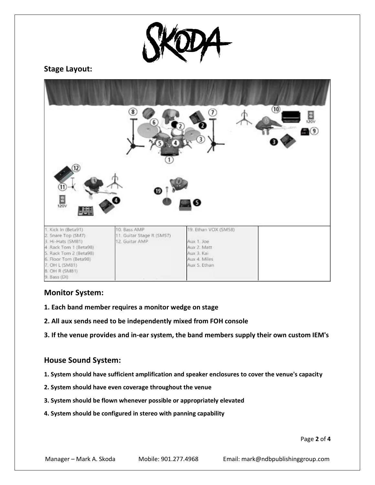

#### **Stage Layout:**



## **Monitor System:**

- **1. Each band member requires a monitor wedge on stage**
- **2. All aux sends need to be independently mixed from FOH console**
- **3. If the venue provides and in-ear system, the band members supply their own custom IEM's**

#### **House Sound System:**

- **1. System should have sufficient amplification and speaker enclosures to cover the venue's capacity**
- **2. System should have even coverage throughout the venue**
- **3. System should be flown whenever possible or appropriately elevated**
- **4. System should be configured in stereo with panning capability**

Page **2** of **4**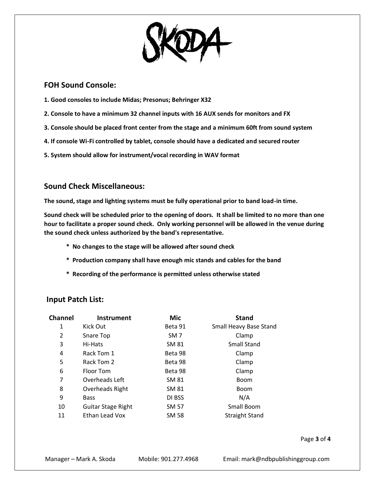

#### **FOH Sound Console:**

**1. Good consoles to include Midas; Presonus; Behringer X32**

- **2. Console to have a minimum 32 channel inputs with 16 AUX sends for monitors and FX**
- **3. Console should be placed front center from the stage and a minimum 60ft from sound system**
- **4. If console Wi-Fi controlled by tablet, console should have a dedicated and secured router**
- **5. System should allow for instrument/vocal recording in WAV format**

## **Sound Check Miscellaneous:**

**The sound, stage and lighting systems must be fully operational prior to band load-in time.**

**Sound check will be scheduled prior to the opening of doors. It shall be limited to no more than one hour to facilitate a proper sound check. Only working personnel will be allowed in the venue during the sound check unless authorized by the band's representative.**

- **\* No changes to the stage will be allowed after sound check**
- **\* Production company shall have enough mic stands and cables for the band**
- **\* Recording of the performance is permitted unless otherwise stated**

## **Input Patch List:**

| <b>Channel</b> | Instrument         | Mic             | <b>Stand</b>           |
|----------------|--------------------|-----------------|------------------------|
| 1              | Kick Out           | Beta 91         | Small Heavy Base Stand |
| 2              | Snare Top          | SM <sub>7</sub> | Clamp                  |
| 3              | Hi-Hats            | <b>SM 81</b>    | <b>Small Stand</b>     |
| 4              | Rack Tom 1         | Beta 98         | Clamp                  |
| 5              | Rack Tom 2         | Beta 98         | Clamp                  |
| 6              | Floor Tom          | Beta 98         | Clamp                  |
| 7              | Overheads Left     | SM 81           | <b>Boom</b>            |
| 8              | Overheads Right    | SM 81           | <b>Boom</b>            |
| 9              | <b>Bass</b>        | DI BSS          | N/A                    |
| 10             | Guitar Stage Right | SM 57           | Small Boom             |
| 11             | Ethan Lead Vox     | <b>SM 58</b>    | <b>Straight Stand</b>  |

Page **3** of **4**